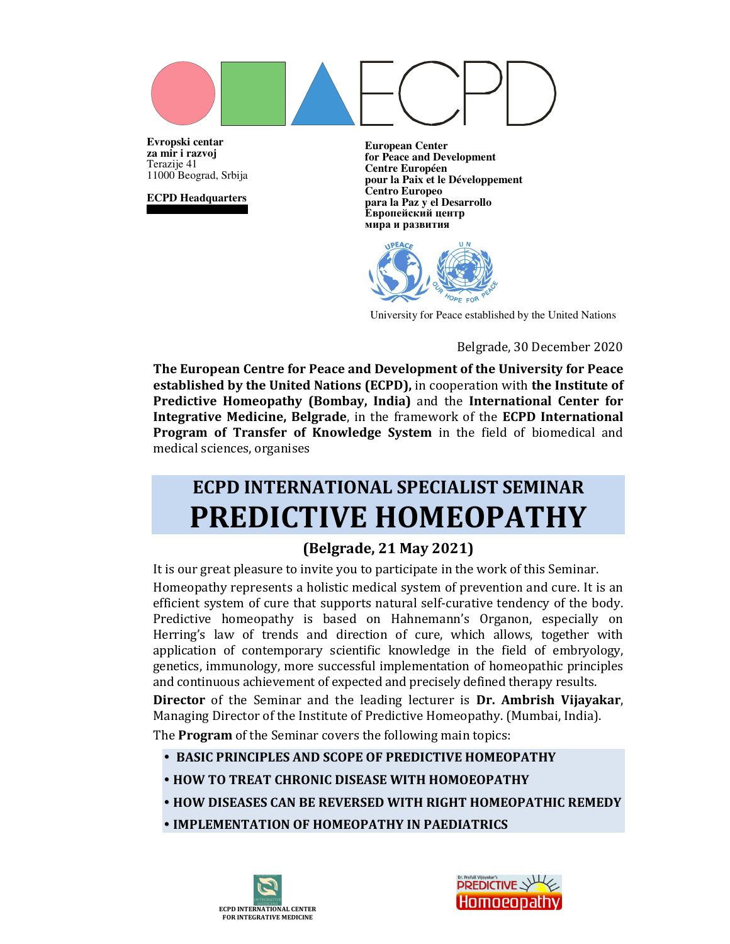**Evropski centar za mir i razvoj** Terazije 41 11000 Beograd, Srbija

**ECPD Headquarters**

**European Center for Peace and Development Centre Européen pour la Paix et le Développement Centro Europeo para la Paz y el Desarrollo**  Европейский центр мира и развития



University for Peace established by the United Nations

Belgrade, 30 December 2020

The European Centre for Peace and Development of the University for Peace established by the United Nations (ECPD), in cooperation with the Institute of Predictive Homeopathy (Bombay, India) and the International Center for Integrative Medicine, Belgrade, in the framework of the ECPD International Program of Transfer of Knowledge System in the field of biomedical and medical sciences, organises

# ECPD INTERNATIONAL SPECIALIST SEMINAR PREDICTIVE HOMEOPATHY

### (Belgrade, 21 May 2021)

It is our great pleasure to invite you to participate in the work of this Seminar. Homeopathy represents a holistic medical system of prevention and cure. It is an efficient system of cure that supports natural self-curative tendency of the body. Predictive homeopathy is based on Hahnemann's Organon, especially on Herring's law of trends and direction of cure, which allows, together with application of contemporary scientific knowledge in the field of embryology, genetics, immunology, more successful implementation of homeopathic principles and continuous achievement of expected and precisely defined therapy results.

Director of the Seminar and the leading lecturer is Dr. Ambrish Vijayakar, Managing Director of the Institute of Predictive Homeopathy. (Mumbai, India).

The Program of the Seminar covers the following main topics:

- BASIC PRINCIPLES AND SCOPE OF PREDICTIVE HOMEOPATHY
- HOW TO TREAT CHRONIC DISEASE WITH HOMOEOPATHY
- HOW DISEASES CAN BE REVERSED WITH RIGHT HOMEOPATHIC REMEDY
- IMPLEMENTATION OF HOMEOPATHY IN PAEDIATRICS



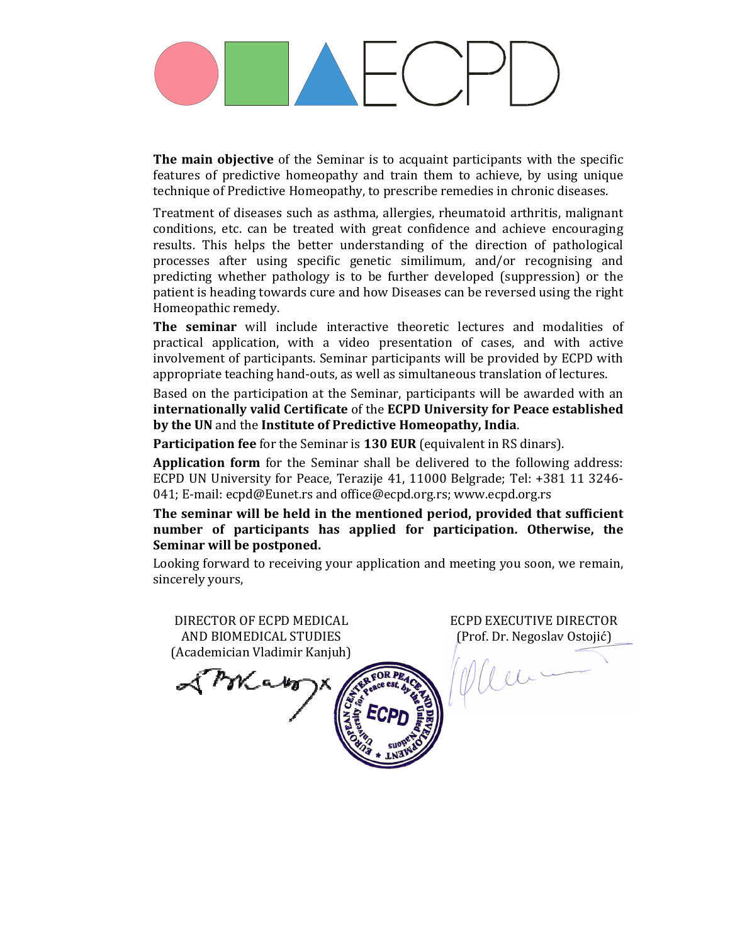The main objective of the Seminar is to acquaint participants with the specific features of predictive homeopathy and train them to achieve, by using unique technique of Predictive Homeopathy, to prescribe remedies in chronic diseases.

Treatment of diseases such as asthma, allergies, rheumatoid arthritis, malignant conditions, etc. can be treated with great confidence and achieve encouraging results. This helps the better understanding of the direction of pathological processes after using specific genetic similimum, and/or recognising and predicting whether pathology is to be further developed (suppression) or the patient is heading towards cure and how Diseases can be reversed using the right Homeopathic remedy.

The seminar will include interactive theoretic lectures and modalities of practical application, with a video presentation of cases, and with active involvement of participants. Seminar participants will be provided by ECPD with appropriate teaching hand-outs, as well as simultaneous translation of lectures.

Based on the participation at the Seminar, participants will be awarded with an internationally valid Certificate of the ECPD University for Peace established by the UN and the Institute of Predictive Homeopathy, India.

Participation fee for the Seminar is 130 EUR (equivalent in RS dinars).

Application form for the Seminar shall be delivered to the following address: ECPD UN University for Peace, Terazije 41, 11000 Belgrade; Tel: +381 11 3246- 041; E-mail: ecpd@Eunet.rs and office@ecpd.org.rs; www.ecpd.org.rs

The seminar will be held in the mentioned period, provided that sufficient number of participants has applied for participation. Otherwise, the Seminar will be postponed.

Looking forward to receiving your application and meeting you soon, we remain, sincerely yours,

DIRECTOR OF ECPD MEDICAL AND BIOMEDICAL STUDIES (Academician Vladimir Kanjuh)

of Mayo

ECPD EXECUTIVE DIRECTOR (Prof. Dr. Negoslav Ostojić)

Meu